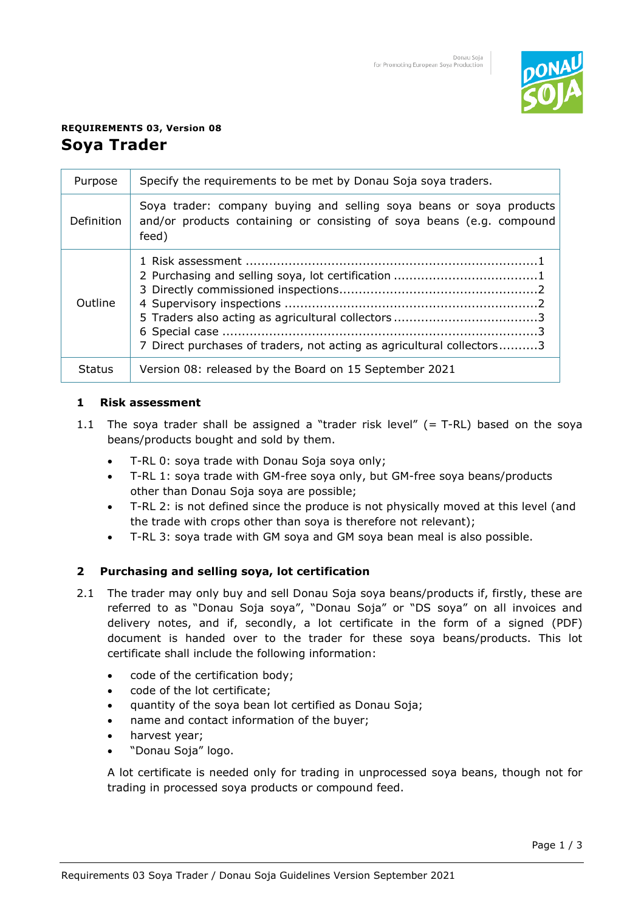

# **REQUIREMENTS 03, Version 08 Soya Trader**

| Purpose       | Specify the requirements to be met by Donau Soja soya traders.                                                                                        |
|---------------|-------------------------------------------------------------------------------------------------------------------------------------------------------|
| Definition    | Soya trader: company buying and selling soya beans or soya products<br>and/or products containing or consisting of soya beans (e.g. compound<br>feed) |
| Outline       | 7 Direct purchases of traders, not acting as agricultural collectors3                                                                                 |
| <b>Status</b> | Version 08: released by the Board on 15 September 2021                                                                                                |

## **1 Risk assessment**

- 1.1 The soya trader shall be assigned a "trader risk level"  $(= T-RL)$  based on the soya beans/products bought and sold by them.
	- T-RL 0: soya trade with Donau Soja soya only;
	- T-RL 1: soya trade with GM-free soya only, but GM-free soya beans/products other than Donau Soja soya are possible;
	- T-RL 2: is not defined since the produce is not physically moved at this level (and the trade with crops other than soya is therefore not relevant);
	- T-RL 3: soya trade with GM soya and GM soya bean meal is also possible.

# **2 Purchasing and selling soya, lot certification**

- 2.1 The trader may only buy and sell Donau Soja soya beans/products if, firstly, these are referred to as "Donau Soja soya", "Donau Soja" or "DS soya" on all invoices and delivery notes, and if, secondly, a lot certificate in the form of a signed (PDF) document is handed over to the trader for these soya beans/products. This lot certificate shall include the following information:
	- code of the certification body;
	- code of the lot certificate;
	- quantity of the soya bean lot certified as Donau Soja;
	- name and contact information of the buyer;
	- harvest year;
	- "Donau Soja" logo.

A lot certificate is needed only for trading in unprocessed soya beans, though not for trading in processed soya products or compound feed.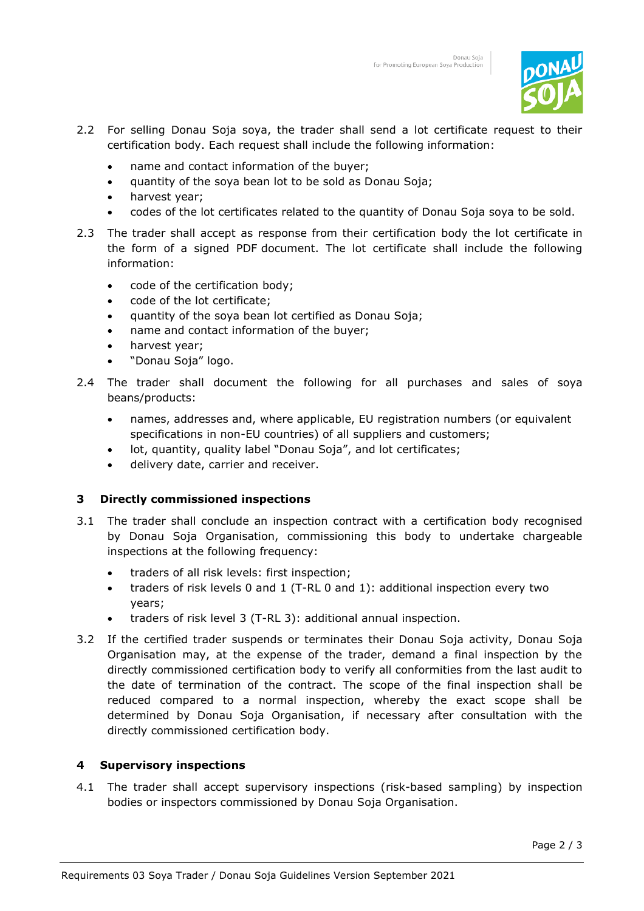

- 2.2 For selling Donau Soja soya, the trader shall send a lot certificate request to their certification body. Each request shall include the following information:
	- name and contact information of the buyer;
	- quantity of the soya bean lot to be sold as Donau Soja;
	- harvest year;
	- codes of the lot certificates related to the quantity of Donau Soja soya to be sold.
- 2.3 The trader shall accept as response from their certification body the lot certificate in the form of a signed PDF document. The lot certificate shall include the following information:
	- code of the certification body;
	- code of the lot certificate;
	- quantity of the soya bean lot certified as Donau Soja;
	- name and contact information of the buyer;
	- harvest year;
	- "Donau Soja" logo.
- 2.4 The trader shall document the following for all purchases and sales of soya beans/products:
	- names, addresses and, where applicable, EU registration numbers (or equivalent specifications in non-EU countries) of all suppliers and customers;
	- lot, quantity, quality label "Donau Soja", and lot certificates;
	- delivery date, carrier and receiver.

#### **3 Directly commissioned inspections**

- 3.1 The trader shall conclude an inspection contract with a certification body recognised by Donau Soja Organisation, commissioning this body to undertake chargeable inspections at the following frequency:
	- traders of all risk levels: first inspection;
	- traders of risk levels 0 and 1 (T-RL 0 and 1): additional inspection every two years;
	- traders of risk level 3 (T-RL 3): additional annual inspection.
- 3.2 If the certified trader suspends or terminates their Donau Soja activity, Donau Soja Organisation may, at the expense of the trader, demand a final inspection by the directly commissioned certification body to verify all conformities from the last audit to the date of termination of the contract. The scope of the final inspection shall be reduced compared to a normal inspection, whereby the exact scope shall be determined by Donau Soja Organisation, if necessary after consultation with the directly commissioned certification body.

#### **4 Supervisory inspections**

4.1 The trader shall accept supervisory inspections (risk-based sampling) by inspection bodies or inspectors commissioned by Donau Soja Organisation.